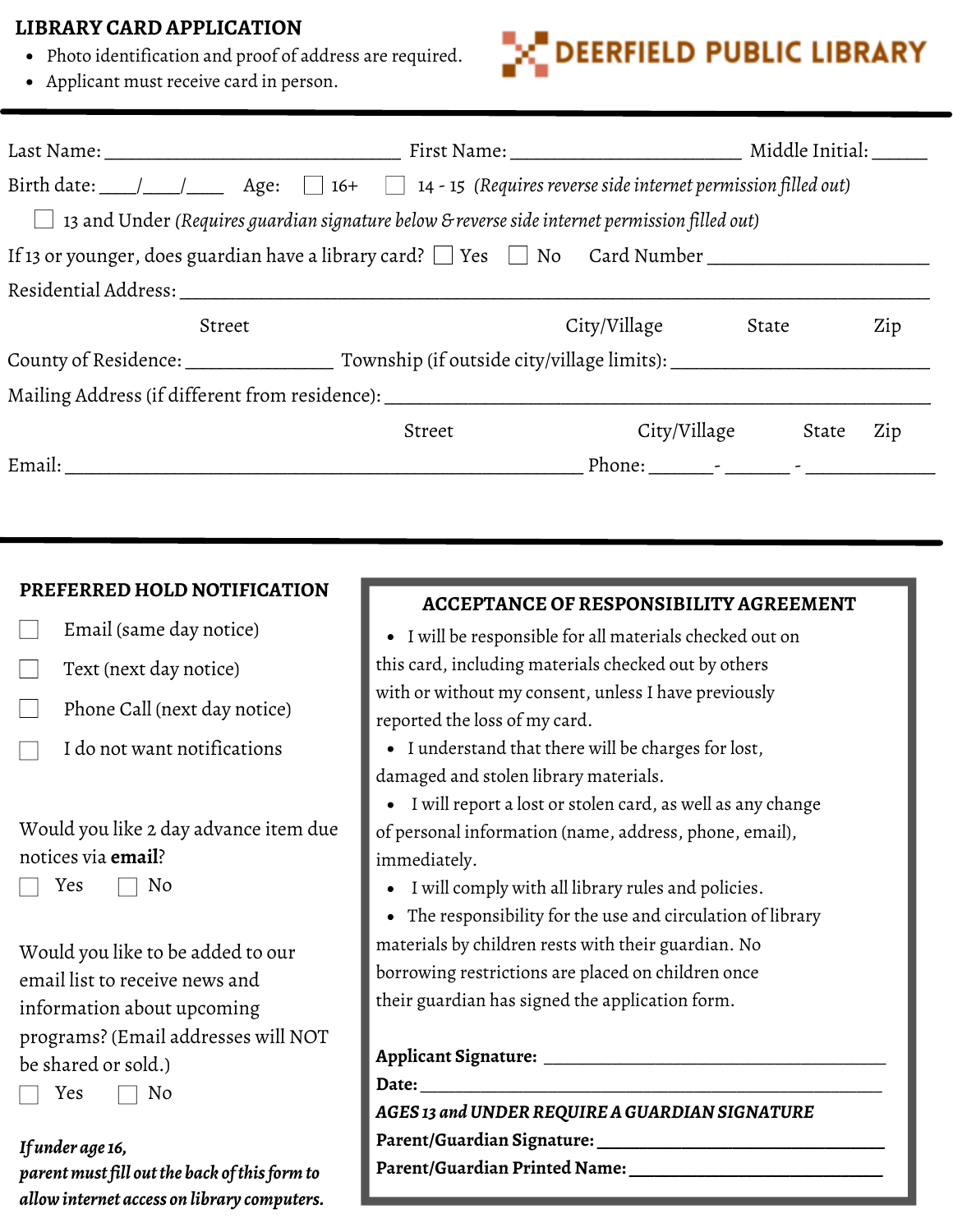## **LIBRARY CARD APPLICATION**

- Photo identification and proof of address are required.
- Applicant must receive card in person.



| Birth date: $\Box$ $\Box$ Age: $\Box$ 16+ $\Box$ 14 - 15 (Requires reverse side internet permission filled out) |        |                        |       |     |  |
|-----------------------------------------------------------------------------------------------------------------|--------|------------------------|-------|-----|--|
| 13 and Under (Requires guardian signature below & reverse side internet permission filled out)                  |        |                        |       |     |  |
| If 13 or younger, does guardian have a library card? The Steed No Card Number                                   |        |                        |       |     |  |
| Residential Address:                                                                                            |        |                        |       |     |  |
| Street                                                                                                          |        | City/Village           | State | Zip |  |
| County of Residence: Township (if outside city/village limits):                                                 |        |                        |       |     |  |
| Mailing Address (if different from residence): _________________________________                                |        |                        |       |     |  |
|                                                                                                                 | Street | City/Village           | State | Zip |  |
| Email:                                                                                                          |        | Phone: $\qquad \qquad$ |       |     |  |

### **PREFERRED HOLD NOTIFICATION**

- Email (same day notice)
- Text (next day notice)
- Phone Call (next day notice)
- I do not want notifications

# Would you like 2 day advance item due notices via **email**?

 $Yes \square No$ 

Would you like to be added to our email list to receive news and information about upcoming programs? (Email addresses will NOT be shared or sold.)

 $Yes \square No$ 

*If under age16, parentmustfill outthe back ofthisformto allowinternet access on library computers.*

# **ACCEPTANCE OF RESPONSIBILITY AGREEMENT**

I will be responsible for all materials checked out on this card, including materials checked out by others with or without my consent, unless I have previously reported the loss of my card.

I understand that there will be charges for lost, damaged and stolen library materials.

I will report a lost or stolen card, as well as any change of personal information (name, address, phone, email), immediately.

I will comply with all library rules and policies.

The responsibility for the use and circulation of library materials by children rests with their guardian. No borrowing restrictions are placed on children once their guardian has signed the application form.

#### **Applicant Signature:** \_\_\_\_\_\_\_\_\_\_\_\_\_\_\_\_\_\_\_\_\_\_\_\_\_\_\_\_\_\_\_\_\_\_\_\_\_\_\_\_

**Date:** \_\_\_\_\_\_\_\_\_\_\_\_\_\_\_\_\_\_\_\_\_\_\_\_\_\_\_\_\_\_\_\_\_\_\_\_\_\_\_\_\_\_\_\_\_\_\_\_\_\_\_\_\_\_

*AGES 13 andUNDERREQUIREAGUARDIAN SIGNATURE* **Parent/Guardian Signature: \_\_\_\_\_\_\_\_\_\_\_\_\_\_\_\_\_\_\_\_\_\_\_\_\_\_\_\_\_\_\_\_\_\_**

**Parent/Guardian Printed Name: \_\_\_\_\_\_\_\_\_\_\_\_\_\_\_\_\_\_\_\_\_\_\_\_\_\_\_\_\_\_**